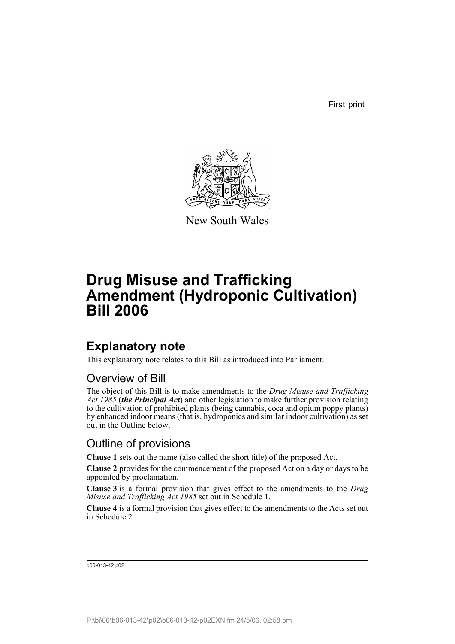First print



New South Wales

# **Drug Misuse and Trafficking Amendment (Hydroponic Cultivation) Bill 2006**

# **Explanatory note**

This explanatory note relates to this Bill as introduced into Parliament.

## Overview of Bill

The object of this Bill is to make amendments to the *Drug Misuse and Trafficking Act 1985* (*the Principal Act*) and other legislation to make further provision relating to the cultivation of prohibited plants (being cannabis, coca and opium poppy plants) by enhanced indoor means (that is, hydroponics and similar indoor cultivation) as set out in the Outline below.

## Outline of provisions

**Clause 1** sets out the name (also called the short title) of the proposed Act.

**Clause 2** provides for the commencement of the proposed Act on a day or days to be appointed by proclamation.

**Clause 3** is a formal provision that gives effect to the amendments to the *Drug Misuse and Trafficking Act 1985* set out in Schedule 1.

**Clause 4** is a formal provision that gives effect to the amendments to the Acts set out in Schedule 2.

b06-013-42.p02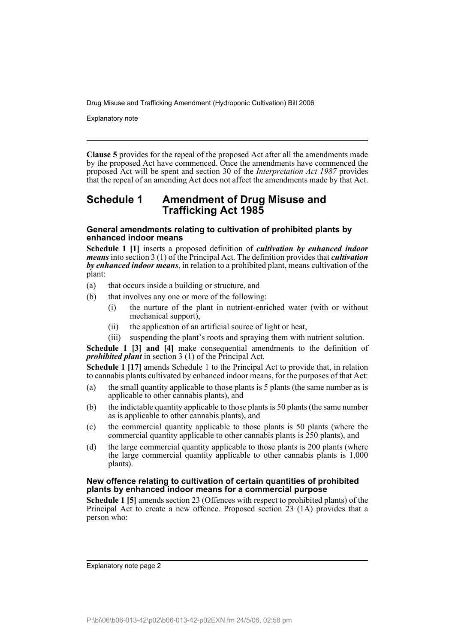Explanatory note

**Clause 5** provides for the repeal of the proposed Act after all the amendments made by the proposed Act have commenced. Once the amendments have commenced the proposed Act will be spent and section 30 of the *Interpretation Act 1987* provides that the repeal of an amending Act does not affect the amendments made by that Act.

## **Schedule 1 Amendment of Drug Misuse and Trafficking Act 1985**

#### **General amendments relating to cultivation of prohibited plants by enhanced indoor means**

**Schedule 1 [1]** inserts a proposed definition of *cultivation by enhanced indoor means* into section 3 (1) of the Principal Act. The definition provides that *cultivation by enhanced indoor means*, in relation to a prohibited plant, means cultivation of the plant:

- (a) that occurs inside a building or structure, and
- (b) that involves any one or more of the following:
	- (i) the nurture of the plant in nutrient-enriched water (with or without mechanical support),
	- (ii) the application of an artificial source of light or heat,
	- (iii) suspending the plant's roots and spraying them with nutrient solution.

**Schedule 1 [3] and [4]** make consequential amendments to the definition of *prohibited plant* in section 3 (1) of the Principal Act.

**Schedule 1 [17]** amends Schedule 1 to the Principal Act to provide that, in relation to cannabis plants cultivated by enhanced indoor means, for the purposes of that Act:

- (a) the small quantity applicable to those plants is 5 plants (the same number as is applicable to other cannabis plants), and
- (b) the indictable quantity applicable to those plants is 50 plants (the same number as is applicable to other cannabis plants), and
- (c) the commercial quantity applicable to those plants is 50 plants (where the commercial quantity applicable to other cannabis plants is  $\overline{250}$  plants), and
- (d) the large commercial quantity applicable to those plants is 200 plants (where the large commercial quantity applicable to other cannabis plants is 1,000 plants).

#### **New offence relating to cultivation of certain quantities of prohibited plants by enhanced indoor means for a commercial purpose**

**Schedule 1 [5]** amends section 23 (Offences with respect to prohibited plants) of the Principal Act to create a new offence. Proposed section 23 (1A) provides that a person who: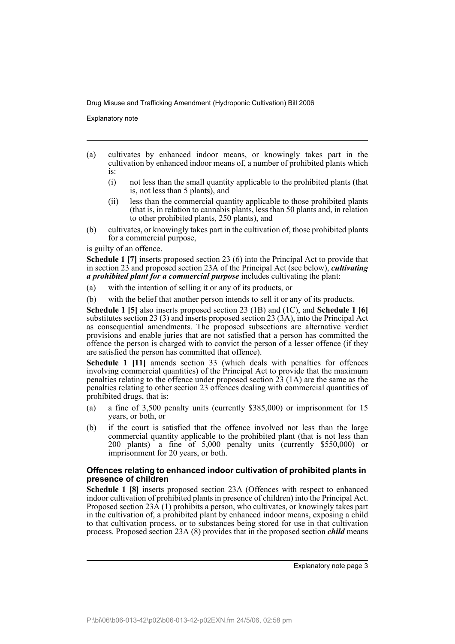Explanatory note

- (a) cultivates by enhanced indoor means, or knowingly takes part in the cultivation by enhanced indoor means of, a number of prohibited plants which is:
	- (i) not less than the small quantity applicable to the prohibited plants (that is, not less than 5 plants), and
	- (ii) less than the commercial quantity applicable to those prohibited plants (that is, in relation to cannabis plants, less than 50 plants and, in relation to other prohibited plants, 250 plants), and
- (b) cultivates, or knowingly takes part in the cultivation of, those prohibited plants for a commercial purpose,

is guilty of an offence.

**Schedule 1 [7]** inserts proposed section 23 (6) into the Principal Act to provide that in section 23 and proposed section 23A of the Principal Act (see below), *cultivating a prohibited plant for a commercial purpose* includes cultivating the plant:

- (a) with the intention of selling it or any of its products, or
- (b) with the belief that another person intends to sell it or any of its products.

**Schedule 1 [5]** also inserts proposed section 23 (1B) and (1C), and **Schedule 1 [6]** substitutes section 23 (3) and inserts proposed section 23 (3A), into the Principal Act as consequential amendments. The proposed subsections are alternative verdict provisions and enable juries that are not satisfied that a person has committed the offence the person is charged with to convict the person of a lesser offence (if they are satisfied the person has committed that offence).

**Schedule 1 [11]** amends section 33 (which deals with penalties for offences involving commercial quantities) of the Principal Act to provide that the maximum penalties relating to the offence under proposed section 23 (1A) are the same as the penalties relating to other section 23 offences dealing with commercial quantities of prohibited drugs, that is:

- (a) a fine of 3,500 penalty units (currently \$385,000) or imprisonment for 15 years, or both, or
- (b) if the court is satisfied that the offence involved not less than the large commercial quantity applicable to the prohibited plant (that is not less than  $200$  plants)—a fine of  $5,000$  penalty units (currently \$550,000) or imprisonment for 20 years, or both.

#### **Offences relating to enhanced indoor cultivation of prohibited plants in presence of children**

**Schedule 1 [8]** inserts proposed section 23A (Offences with respect to enhanced indoor cultivation of prohibited plants in presence of children) into the Principal Act. Proposed section  $23\text{\AA}$  (1) prohibits a person, who cultivates, or knowingly takes part in the cultivation of, a prohibited plant by enhanced indoor means, exposing a child to that cultivation process, or to substances being stored for use in that cultivation process. Proposed section 23A (8) provides that in the proposed section *child* means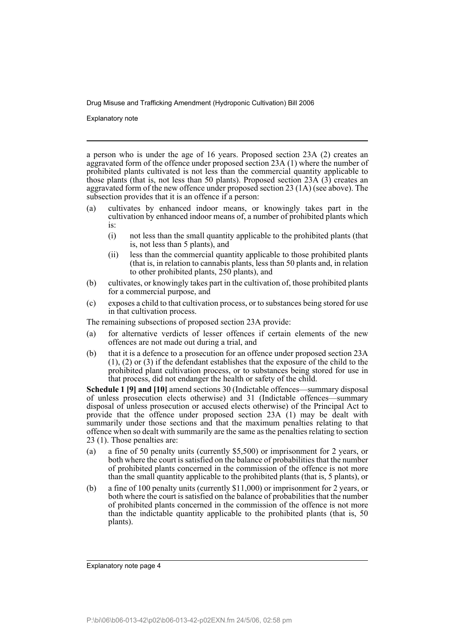Explanatory note

a person who is under the age of 16 years. Proposed section 23A (2) creates an aggravated form of the offence under proposed section 23A (1) where the number of prohibited plants cultivated is not less than the commercial quantity applicable to those plants (that is, not less than 50 plants). Proposed section  $23\vec{A}$  (3) creates an aggravated form of the new offence under proposed section 23 (1A) (see above). The subsection provides that it is an offence if a person:

- (a) cultivates by enhanced indoor means, or knowingly takes part in the cultivation by enhanced indoor means of, a number of prohibited plants which is:
	- (i) not less than the small quantity applicable to the prohibited plants (that is, not less than 5 plants), and
	- (ii) less than the commercial quantity applicable to those prohibited plants (that is, in relation to cannabis plants, less than 50 plants and, in relation to other prohibited plants, 250 plants), and
- (b) cultivates, or knowingly takes part in the cultivation of, those prohibited plants for a commercial purpose, and
- (c) exposes a child to that cultivation process, or to substances being stored for use in that cultivation process.

The remaining subsections of proposed section 23A provide:

- (a) for alternative verdicts of lesser offences if certain elements of the new offences are not made out during a trial, and
- (b) that it is a defence to a prosecution for an offence under proposed section 23A (1), (2) or (3) if the defendant establishes that the exposure of the child to the prohibited plant cultivation process, or to substances being stored for use in that process, did not endanger the health or safety of the child.

**Schedule 1 [9] and [10]** amend sections 30 (Indictable offences—summary disposal of unless prosecution elects otherwise) and 31 (Indictable offences—summary disposal of unless prosecution or accused elects otherwise) of the Principal Act to provide that the offence under proposed section 23A (1) may be dealt with summarily under those sections and that the maximum penalties relating to that offence when so dealt with summarily are the same as the penalties relating to section 23 (1). Those penalties are:

- (a) a fine of 50 penalty units (currently \$5,500) or imprisonment for 2 years, or both where the court is satisfied on the balance of probabilities that the number of prohibited plants concerned in the commission of the offence is not more than the small quantity applicable to the prohibited plants (that is, 5 plants), or
- (b) a fine of 100 penalty units (currently \$11,000) or imprisonment for 2 years, or both where the court is satisfied on the balance of probabilities that the number of prohibited plants concerned in the commission of the offence is not more than the indictable quantity applicable to the prohibited plants (that is, 50 plants).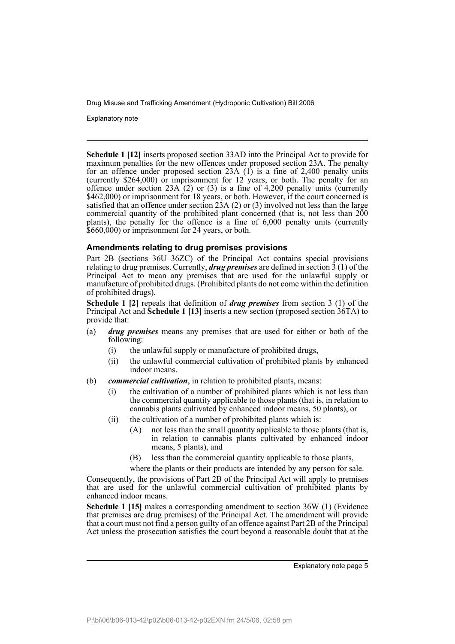Explanatory note

**Schedule 1 [12]** inserts proposed section 33AD into the Principal Act to provide for maximum penalties for the new offences under proposed section 23A. The penalty for an offence under proposed section 23A (1) is a fine of 2,400 penalty units (currently \$264,000) or imprisonment for 12 years, or both. The penalty for an offence under section  $23A(2)$  or (3) is a fine of 4,200 penalty units (currently \$462,000) or imprisonment for 18 years, or both. However, if the court concerned is satisfied that an offence under section  $23A(2)$  or (3) involved not less than the large commercial quantity of the prohibited plant concerned (that is, not less than  $200$ ) plants), the penalty for the offence is a fine of 6,000 penalty units (currently  $$660,000$  or imprisonment for 24 years, or both.

#### **Amendments relating to drug premises provisions**

Part 2B (sections 36U–36ZC) of the Principal Act contains special provisions relating to drug premises. Currently, *drug premises* are defined in section 3 (1) of the Principal Act to mean any premises that are used for the unlawful supply or manufacture of prohibited drugs. (Prohibited plants do not come within the definition of prohibited drugs).

**Schedule 1 [2]** repeals that definition of *drug premises* from section 3 (1) of the Principal Act and **Schedule 1 [13]** inserts a new section (proposed section 36TA) to provide that:

- (a) *drug premises* means any premises that are used for either or both of the following:
	- (i) the unlawful supply or manufacture of prohibited drugs,
	- (ii) the unlawful commercial cultivation of prohibited plants by enhanced indoor means.
- (b) *commercial cultivation*, in relation to prohibited plants, means:
	- (i) the cultivation of a number of prohibited plants which is not less than the commercial quantity applicable to those plants (that is, in relation to cannabis plants cultivated by enhanced indoor means, 50 plants), or
	- (ii) the cultivation of a number of prohibited plants which is:
		- (A) not less than the small quantity applicable to those plants (that is, in relation to cannabis plants cultivated by enhanced indoor means, 5 plants), and
		- (B) less than the commercial quantity applicable to those plants,
		- where the plants or their products are intended by any person for sale.

Consequently, the provisions of Part 2B of the Principal Act will apply to premises that are used for the unlawful commercial cultivation of prohibited plants by enhanced indoor means.

**Schedule 1 [15]** makes a corresponding amendment to section 36W (1) (Evidence that premises are drug premises) of the Principal Act. The amendment will provide that a court must not find a person guilty of an offence against Part 2B of the Principal Act unless the prosecution satisfies the court beyond a reasonable doubt that at the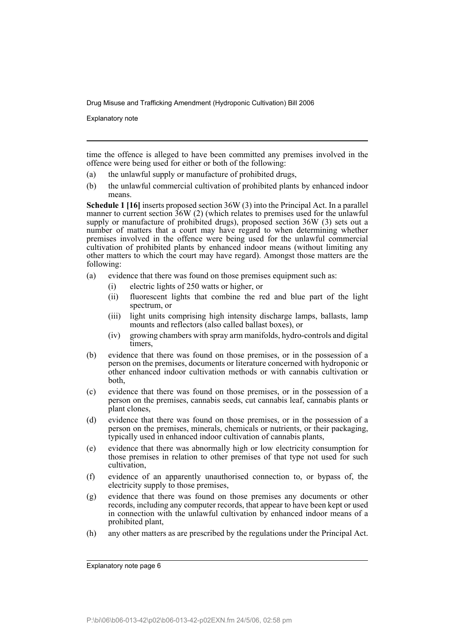Explanatory note

time the offence is alleged to have been committed any premises involved in the offence were being used for either or both of the following:

- (a) the unlawful supply or manufacture of prohibited drugs,
- (b) the unlawful commercial cultivation of prohibited plants by enhanced indoor means.

**Schedule 1 [16]** inserts proposed section 36W (3) into the Principal Act. In a parallel manner to current section  $36W(2)$  (which relates to premises used for the unlawful supply or manufacture of prohibited drugs), proposed section 36W (3) sets out a number of matters that a court may have regard to when determining whether premises involved in the offence were being used for the unlawful commercial cultivation of prohibited plants by enhanced indoor means (without limiting any other matters to which the court may have regard). Amongst those matters are the following:

- (a) evidence that there was found on those premises equipment such as:
	- (i) electric lights of 250 watts or higher, or
	- (ii) fluorescent lights that combine the red and blue part of the light spectrum, or
	- (iii) light units comprising high intensity discharge lamps, ballasts, lamp mounts and reflectors (also called ballast boxes), or
	- (iv) growing chambers with spray arm manifolds, hydro-controls and digital timers,
- (b) evidence that there was found on those premises, or in the possession of a person on the premises, documents or literature concerned with hydroponic or other enhanced indoor cultivation methods or with cannabis cultivation or both,
- (c) evidence that there was found on those premises, or in the possession of a person on the premises, cannabis seeds, cut cannabis leaf, cannabis plants or plant clones,
- (d) evidence that there was found on those premises, or in the possession of a person on the premises, minerals, chemicals or nutrients, or their packaging, typically used in enhanced indoor cultivation of cannabis plants,
- (e) evidence that there was abnormally high or low electricity consumption for those premises in relation to other premises of that type not used for such cultivation,
- (f) evidence of an apparently unauthorised connection to, or bypass of, the electricity supply to those premises,
- (g) evidence that there was found on those premises any documents or other records, including any computer records, that appear to have been kept or used in connection with the unlawful cultivation by enhanced indoor means of a prohibited plant,
- (h) any other matters as are prescribed by the regulations under the Principal Act.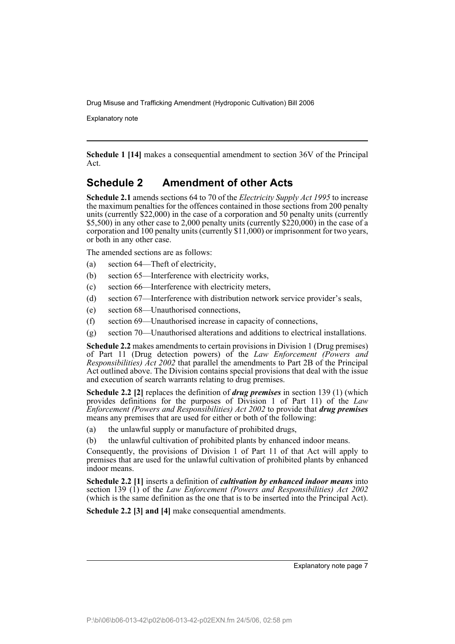Explanatory note

**Schedule 1 [14]** makes a consequential amendment to section 36V of the Principal Act.

## **Schedule 2 Amendment of other Acts**

**Schedule 2.1** amends sections 64 to 70 of the *Electricity Supply Act 1995* to increase the maximum penalties for the offences contained in those sections from 200 penalty units (currently  $$22,000$ ) in the case of a corporation and 50 penalty units (currently \$5,500) in any other case to 2,000 penalty units (currently \$220,000) in the case of a corporation and 100 penalty units (currently \$11,000) or imprisonment for two years, or both in any other case.

The amended sections are as follows:

- (a) section 64—Theft of electricity,
- (b) section 65—Interference with electricity works,
- (c) section 66—Interference with electricity meters,
- (d) section 67—Interference with distribution network service provider's seals,
- (e) section 68—Unauthorised connections,
- (f) section 69—Unauthorised increase in capacity of connections,
- (g) section 70—Unauthorised alterations and additions to electrical installations.

**Schedule 2.2** makes amendments to certain provisions in Division 1 (Drug premises) of Part 11 (Drug detection powers) of the *Law Enforcement (Powers and Responsibilities) Act 2002* that parallel the amendments to Part 2B of the Principal Act outlined above. The Division contains special provisions that deal with the issue and execution of search warrants relating to drug premises.

**Schedule 2.2 [2]** replaces the definition of *drug premises* in section 139 (1) (which provides definitions for the purposes of Division 1 of Part 11) of the *Law Enforcement (Powers and Responsibilities) Act 2002* to provide that *drug premises* means any premises that are used for either or both of the following:

- (a) the unlawful supply or manufacture of prohibited drugs,
- (b) the unlawful cultivation of prohibited plants by enhanced indoor means.

Consequently, the provisions of Division 1 of Part 11 of that Act will apply to premises that are used for the unlawful cultivation of prohibited plants by enhanced indoor means.

**Schedule 2.2 [1]** inserts a definition of *cultivation by enhanced indoor means* into section 139 (1) of the *Law Enforcement (Powers and Responsibilities) Act 2002* (which is the same definition as the one that is to be inserted into the Principal Act).

**Schedule 2.2 [3] and [4]** make consequential amendments.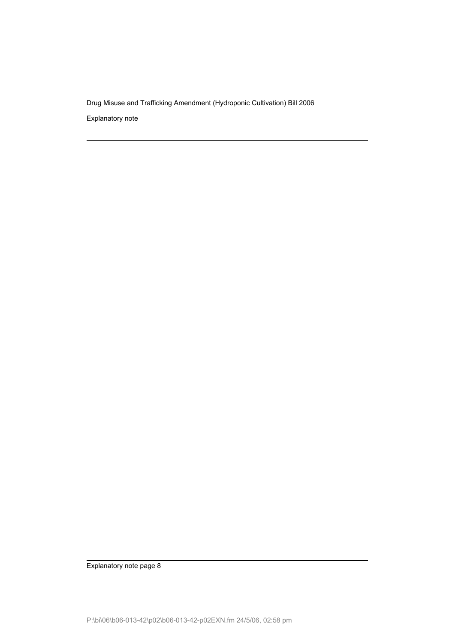Explanatory note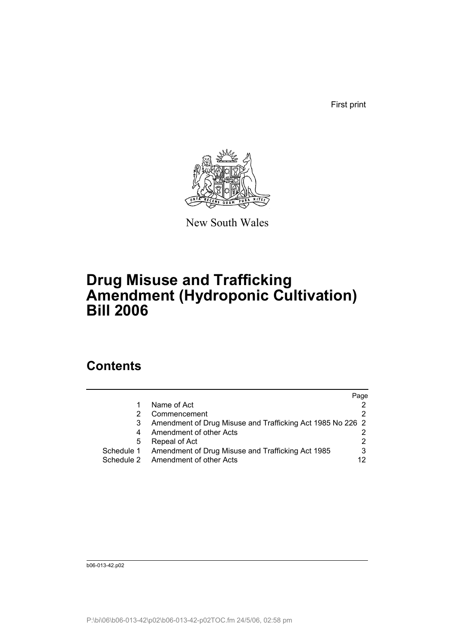First print



New South Wales

# **Drug Misuse and Trafficking Amendment (Hydroponic Cultivation) Bill 2006**

## **Contents**

|            |                                                            | Page |
|------------|------------------------------------------------------------|------|
|            | Name of Act                                                |      |
|            | Commencement                                               |      |
|            | Amendment of Drug Misuse and Trafficking Act 1985 No 226 2 |      |
|            | Amendment of other Acts                                    |      |
| 5          | Repeal of Act                                              | 2    |
| Schedule 1 | Amendment of Drug Misuse and Trafficking Act 1985          | 3    |
| Schedule 2 | Amendment of other Acts                                    | 12   |
|            |                                                            |      |

b06-013-42.p02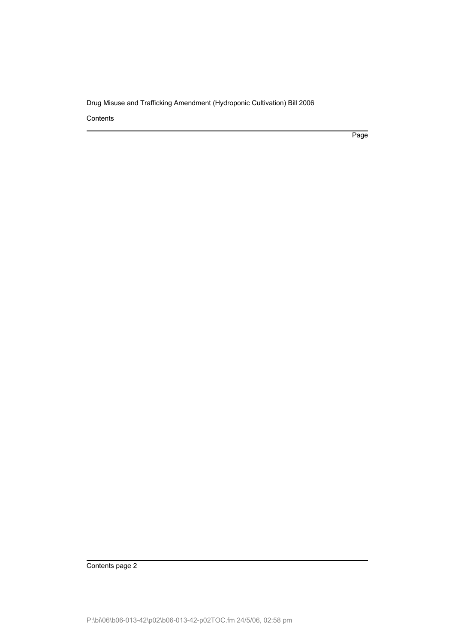Contents

Page

Contents page 2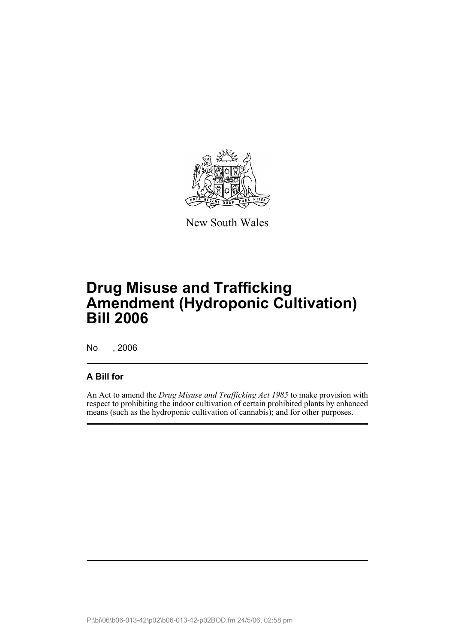

New South Wales

# **Drug Misuse and Trafficking Amendment (Hydroponic Cultivation) Bill 2006**

No , 2006

### **A Bill for**

An Act to amend the *Drug Misuse and Trafficking Act 1985* to make provision with respect to prohibiting the indoor cultivation of certain prohibited plants by enhanced means (such as the hydroponic cultivation of cannabis); and for other purposes.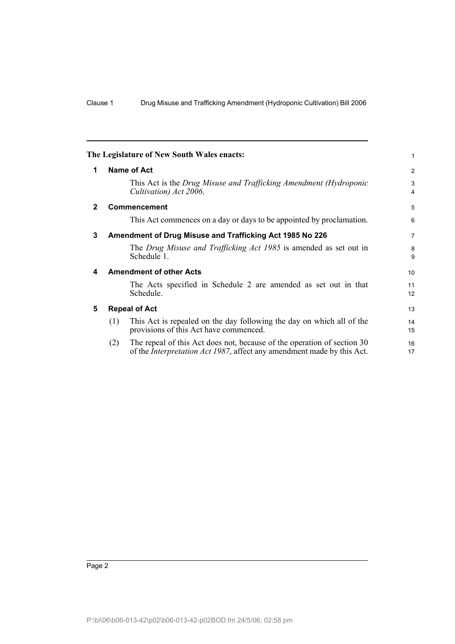|                  |     | The Legislature of New South Wales enacts:                                                                                                                | 1                   |  |  |  |  |
|------------------|-----|-----------------------------------------------------------------------------------------------------------------------------------------------------------|---------------------|--|--|--|--|
| 1<br>Name of Act |     |                                                                                                                                                           |                     |  |  |  |  |
|                  |     | This Act is the Drug Misuse and Trafficking Amendment (Hydroponic<br>Cultivation) Act 2006.                                                               | 3<br>$\overline{4}$ |  |  |  |  |
| $\mathbf{2}$     |     | <b>Commencement</b>                                                                                                                                       | 5                   |  |  |  |  |
|                  |     | This Act commences on a day or days to be appointed by proclamation.                                                                                      | 6                   |  |  |  |  |
| 3                |     | Amendment of Drug Misuse and Trafficking Act 1985 No 226                                                                                                  | $\overline{7}$      |  |  |  |  |
|                  |     | The Drug Misuse and Trafficking Act 1985 is amended as set out in<br>Schedule 1.                                                                          | 8<br>9              |  |  |  |  |
| 4                |     | <b>Amendment of other Acts</b>                                                                                                                            | 10                  |  |  |  |  |
|                  |     | The Acts specified in Schedule 2 are amended as set out in that<br>Schedule.                                                                              | 11<br>12            |  |  |  |  |
| 5                |     | <b>Repeal of Act</b>                                                                                                                                      | 13                  |  |  |  |  |
|                  | (1) | This Act is repealed on the day following the day on which all of the<br>provisions of this Act have commenced.                                           | 14<br>15            |  |  |  |  |
|                  | (2) | The repeal of this Act does not, because of the operation of section 30<br>of the <i>Interpretation Act 1987</i> , affect any amendment made by this Act. | 16<br>17            |  |  |  |  |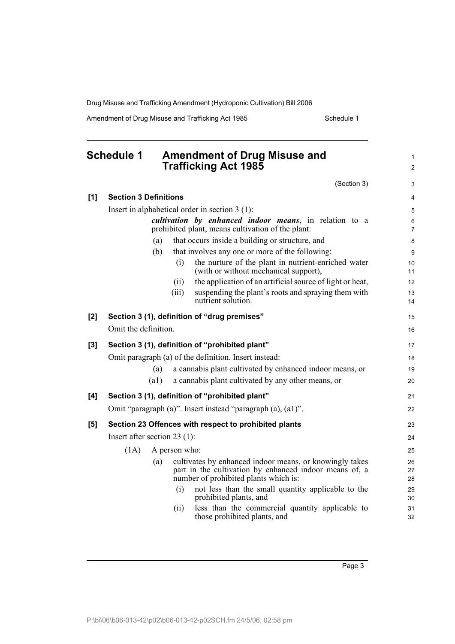Amendment of Drug Misuse and Trafficking Act 1985 Schedule 1

| <b>Schedule 1</b> |                                | <b>Amendment of Drug Misuse and</b><br><b>Trafficking Act 1985</b>                                                  | 1<br>$\overline{c}$ |
|-------------------|--------------------------------|---------------------------------------------------------------------------------------------------------------------|---------------------|
|                   |                                | (Section 3)                                                                                                         | 3                   |
| [1]               | <b>Section 3 Definitions</b>   |                                                                                                                     | 4                   |
|                   |                                | Insert in alphabetical order in section $3(1)$ :                                                                    | 5                   |
|                   |                                | <i>cultivation by enhanced indoor means</i> , in relation to a<br>prohibited plant, means cultivation of the plant: | 6<br>7              |
|                   | (a)                            | that occurs inside a building or structure, and                                                                     | 8                   |
|                   | (b)                            | that involves any one or more of the following:                                                                     | 9                   |
|                   |                                | the nurture of the plant in nutrient-enriched water<br>(i)<br>(with or without mechanical support),                 | 10<br>11            |
|                   |                                | the application of an artificial source of light or heat,<br>(ii)                                                   | 12                  |
|                   |                                | suspending the plant's roots and spraying them with<br>(iii)<br>nutrient solution.                                  | 13<br>14            |
| [2]               |                                | Section 3 (1), definition of "drug premises"                                                                        | 15                  |
|                   | Omit the definition.           |                                                                                                                     | 16                  |
| [3]               |                                | Section 3 (1), definition of "prohibited plant"                                                                     | 17                  |
|                   |                                | Omit paragraph (a) of the definition. Insert instead:                                                               | 18                  |
|                   | (a)                            | a cannabis plant cultivated by enhanced indoor means, or                                                            | 19                  |
|                   | $\left( a1\right)$             | a cannabis plant cultivated by any other means, or                                                                  | 20                  |
| [4]               |                                | Section 3 (1), definition of "prohibited plant"                                                                     | 21                  |
|                   |                                | Omit "paragraph (a)". Insert instead "paragraph (a), (a1)".                                                         | 22                  |
| [5]               |                                | Section 23 Offences with respect to prohibited plants                                                               | 23                  |
|                   | Insert after section $23(1)$ : |                                                                                                                     | 24                  |
|                   | (1A)                           | A person who:                                                                                                       | 25                  |
|                   | (a)                            | cultivates by enhanced indoor means, or knowingly takes                                                             | 26                  |
|                   |                                | part in the cultivation by enhanced indoor means of, a<br>number of prohibited plants which is:                     | 27<br>28            |
|                   |                                | (i)<br>not less than the small quantity applicable to the<br>prohibited plants, and                                 | 29<br>30            |
|                   |                                | less than the commercial quantity applicable to<br>(ii)<br>those prohibited plants, and                             | 31<br>32            |

Page 3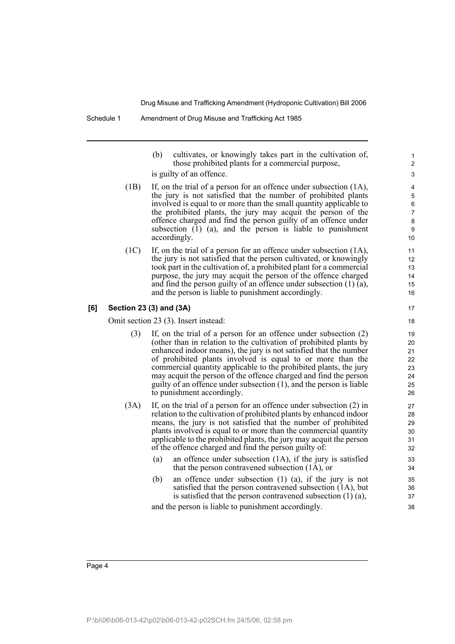(b) cultivates, or knowingly takes part in the cultivation of, those prohibited plants for a commercial purpose,

is guilty of an offence.

- (1B) If, on the trial of a person for an offence under subsection (1A), the jury is not satisfied that the number of prohibited plants involved is equal to or more than the small quantity applicable to the prohibited plants, the jury may acquit the person of the offence charged and find the person guilty of an offence under subsection (1) (a), and the person is liable to punishment accordingly.
- (1C) If, on the trial of a person for an offence under subsection (1A), the jury is not satisfied that the person cultivated, or knowingly took part in the cultivation of, a prohibited plant for a commercial purpose, the jury may acquit the person of the offence charged and find the person guilty of an offence under subsection (1) (a), and the person is liable to punishment accordingly.

#### **[6] Section 23 (3) and (3A)**

Omit section 23 (3). Insert instead:

17 18

- If, on the trial of a person for an offence under subsection  $(2)$ (other than in relation to the cultivation of prohibited plants by enhanced indoor means), the jury is not satisfied that the number of prohibited plants involved is equal to or more than the commercial quantity applicable to the prohibited plants, the jury may acquit the person of the offence charged and find the person guilty of an offence under subsection (1), and the person is liable to punishment accordingly.
- (3A) If, on the trial of a person for an offence under subsection (2) in relation to the cultivation of prohibited plants by enhanced indoor means, the jury is not satisfied that the number of prohibited plants involved is equal to or more than the commercial quantity applicable to the prohibited plants, the jury may acquit the person of the offence charged and find the person guilty of:
	- (a) an offence under subsection (1A), if the jury is satisfied that the person contravened subsection (1A), or
	- (b) an offence under subsection (1) (a), if the jury is not satisfied that the person contravened subsection (1A), but is satisfied that the person contravened subsection (1) (a),

and the person is liable to punishment accordingly.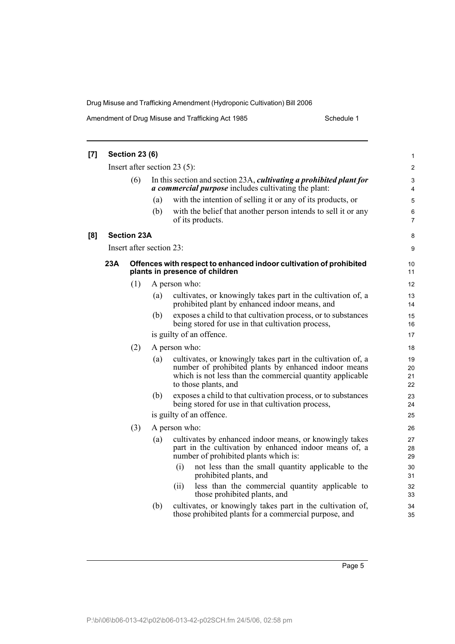|  | Amendment of Drug Misuse and Trafficking Act 1985 |  |
|--|---------------------------------------------------|--|
|  |                                                   |  |

| $[7]$ | <b>Section 23 (6)</b>                                                                                                                            |                                 |     |                                                                                                                                                                                                           |                      |  |  |  |  |
|-------|--------------------------------------------------------------------------------------------------------------------------------------------------|---------------------------------|-----|-----------------------------------------------------------------------------------------------------------------------------------------------------------------------------------------------------------|----------------------|--|--|--|--|
|       |                                                                                                                                                  | Insert after section 23 $(5)$ : |     |                                                                                                                                                                                                           |                      |  |  |  |  |
|       | (6)<br>In this section and section 23A, <i>cultivating a prohibited plant for</i><br><i>a commercial purpose</i> includes cultivating the plant: |                                 |     |                                                                                                                                                                                                           |                      |  |  |  |  |
|       |                                                                                                                                                  |                                 | (a) | with the intention of selling it or any of its products, or                                                                                                                                               | 5                    |  |  |  |  |
|       |                                                                                                                                                  |                                 | (b) | with the belief that another person intends to sell it or any<br>of its products.                                                                                                                         | 6<br>$\overline{7}$  |  |  |  |  |
| [8]   |                                                                                                                                                  | <b>Section 23A</b>              |     |                                                                                                                                                                                                           | $\bf 8$              |  |  |  |  |
|       |                                                                                                                                                  | Insert after section 23:        |     |                                                                                                                                                                                                           | 9                    |  |  |  |  |
|       | 23A                                                                                                                                              |                                 |     | Offences with respect to enhanced indoor cultivation of prohibited<br>plants in presence of children                                                                                                      | 10<br>11             |  |  |  |  |
|       |                                                                                                                                                  | (1)                             |     | A person who:                                                                                                                                                                                             | 12                   |  |  |  |  |
|       |                                                                                                                                                  |                                 | (a) | cultivates, or knowingly takes part in the cultivation of, a<br>prohibited plant by enhanced indoor means, and                                                                                            | 13<br>14             |  |  |  |  |
|       |                                                                                                                                                  |                                 | (b) | exposes a child to that cultivation process, or to substances<br>being stored for use in that cultivation process,                                                                                        | 15<br>16             |  |  |  |  |
|       |                                                                                                                                                  |                                 |     | is guilty of an offence.                                                                                                                                                                                  | 17                   |  |  |  |  |
|       |                                                                                                                                                  | (2)                             |     | A person who:                                                                                                                                                                                             | 18                   |  |  |  |  |
|       |                                                                                                                                                  |                                 | (a) | cultivates, or knowingly takes part in the cultivation of, a<br>number of prohibited plants by enhanced indoor means<br>which is not less than the commercial quantity applicable<br>to those plants, and | 19<br>20<br>21<br>22 |  |  |  |  |
|       |                                                                                                                                                  |                                 | (b) | exposes a child to that cultivation process, or to substances<br>being stored for use in that cultivation process,                                                                                        | 23<br>24             |  |  |  |  |
|       |                                                                                                                                                  |                                 |     | is guilty of an offence.                                                                                                                                                                                  | 25                   |  |  |  |  |
|       |                                                                                                                                                  | (3)                             |     | A person who:                                                                                                                                                                                             | 26                   |  |  |  |  |
|       |                                                                                                                                                  |                                 | (a) | cultivates by enhanced indoor means, or knowingly takes<br>part in the cultivation by enhanced indoor means of, a<br>number of prohibited plants which is:                                                | 27<br>28<br>29       |  |  |  |  |
|       |                                                                                                                                                  |                                 |     | (i)<br>not less than the small quantity applicable to the<br>prohibited plants, and                                                                                                                       | 30<br>31             |  |  |  |  |
|       |                                                                                                                                                  |                                 |     | less than the commercial quantity applicable to<br>(ii)<br>those prohibited plants, and                                                                                                                   | 32<br>33             |  |  |  |  |
|       |                                                                                                                                                  |                                 | (b) | cultivates, or knowingly takes part in the cultivation of,<br>those prohibited plants for a commercial purpose, and                                                                                       | 34<br>35             |  |  |  |  |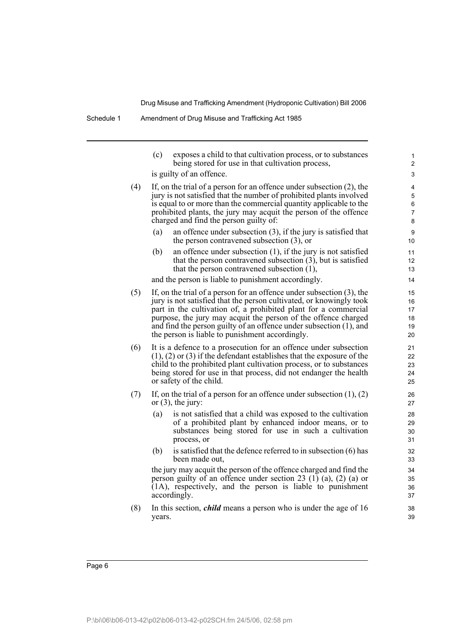|     | (c)<br>exposes a child to that cultivation process, or to substances<br>being stored for use in that cultivation process,                                                                                                                                                                                                                                                                                     | 1<br>$\overline{c}$              |
|-----|---------------------------------------------------------------------------------------------------------------------------------------------------------------------------------------------------------------------------------------------------------------------------------------------------------------------------------------------------------------------------------------------------------------|----------------------------------|
|     | is guilty of an offence.                                                                                                                                                                                                                                                                                                                                                                                      | 3                                |
| (4) | If, on the trial of a person for an offence under subsection $(2)$ , the<br>jury is not satisfied that the number of prohibited plants involved<br>is equal to or more than the commercial quantity applicable to the<br>prohibited plants, the jury may acquit the person of the offence<br>charged and find the person guilty of:                                                                           | 4<br>5<br>6<br>7<br>8            |
|     | an offence under subsection $(3)$ , if the jury is satisfied that<br>(a)<br>the person contravened subsection $(3)$ , or                                                                                                                                                                                                                                                                                      | 9<br>10                          |
|     | an offence under subsection $(1)$ , if the jury is not satisfied<br>(b)<br>that the person contravened subsection $(3)$ , but is satisfied<br>that the person contravened subsection $(1)$ ,                                                                                                                                                                                                                  | 11<br>12<br>13                   |
|     | and the person is liable to punishment accordingly.                                                                                                                                                                                                                                                                                                                                                           | 14                               |
| (5) | If, on the trial of a person for an offence under subsection $(3)$ , the<br>jury is not satisfied that the person cultivated, or knowingly took<br>part in the cultivation of, a prohibited plant for a commercial<br>purpose, the jury may acquit the person of the offence charged<br>and find the person guilty of an offence under subsection (1), and<br>the person is liable to punishment accordingly. | 15<br>16<br>17<br>18<br>19<br>20 |
| (6) | It is a defence to a prosecution for an offence under subsection<br>$(1)$ , $(2)$ or $(3)$ if the defendant establishes that the exposure of the<br>child to the prohibited plant cultivation process, or to substances<br>being stored for use in that process, did not endanger the health<br>or safety of the child.                                                                                       | 21<br>22<br>23<br>24<br>25       |
| (7) | If, on the trial of a person for an offence under subsection $(1)$ , $(2)$<br>or $(3)$ , the jury:                                                                                                                                                                                                                                                                                                            | 26<br>27                         |
|     | (a)<br>is not satisfied that a child was exposed to the cultivation<br>of a prohibited plant by enhanced indoor means, or to<br>substances being stored for use in such a cultivation<br>process, or                                                                                                                                                                                                          | 28<br>29<br>30<br>31             |
|     | (b)<br>is satisfied that the defence referred to in subsection (6) has<br>been made out,                                                                                                                                                                                                                                                                                                                      | 32<br>33                         |
|     | the jury may acquit the person of the offence charged and find the<br>person guilty of an offence under section 23 $(1)$ $(a)$ , $(2)$ $(a)$ or<br>(1A), respectively, and the person is liable to punishment<br>accordingly.                                                                                                                                                                                 | 34<br>35<br>36<br>37             |
| (8) | In this section, <i>child</i> means a person who is under the age of 16                                                                                                                                                                                                                                                                                                                                       | 38                               |

(8) In this section, *child* means a person who is under the age of 16 years.

39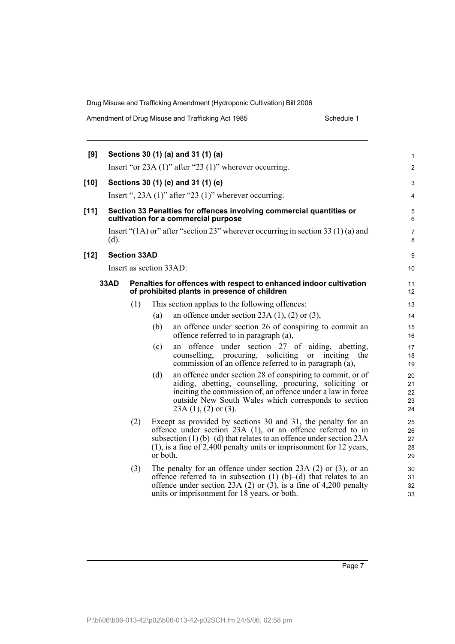| Amendment of Drug Misuse and Trafficking Act 1985 | Schedule 1 |
|---------------------------------------------------|------------|
|---------------------------------------------------|------------|

| [9]    |                                                                                                              |                                    | Sections 30 (1) (a) and 31 (1) (a)                                                                                                                                                                                                                                                         | 1                          |  |  |  |  |  |
|--------|--------------------------------------------------------------------------------------------------------------|------------------------------------|--------------------------------------------------------------------------------------------------------------------------------------------------------------------------------------------------------------------------------------------------------------------------------------------|----------------------------|--|--|--|--|--|
|        |                                                                                                              |                                    | Insert "or $23A(1)$ " after " $23(1)$ " wherever occurring.                                                                                                                                                                                                                                | $\overline{2}$             |  |  |  |  |  |
| $[10]$ |                                                                                                              | Sections 30 (1) (e) and 31 (1) (e) |                                                                                                                                                                                                                                                                                            |                            |  |  |  |  |  |
|        | Insert ", 23A (1)" after "23 (1)" wherever occurring.                                                        |                                    |                                                                                                                                                                                                                                                                                            |                            |  |  |  |  |  |
| $[11]$ | Section 33 Penalties for offences involving commercial quantities or<br>cultivation for a commercial purpose |                                    |                                                                                                                                                                                                                                                                                            |                            |  |  |  |  |  |
|        | $(d)$ .                                                                                                      |                                    | Insert " $(1A)$ or" after "section 23" wherever occurring in section 33 (1) (a) and                                                                                                                                                                                                        | $\overline{7}$<br>8        |  |  |  |  |  |
| $[12]$ |                                                                                                              | <b>Section 33AD</b>                |                                                                                                                                                                                                                                                                                            | $\boldsymbol{9}$           |  |  |  |  |  |
|        |                                                                                                              |                                    | Insert as section 33AD:                                                                                                                                                                                                                                                                    | 10                         |  |  |  |  |  |
|        | 33AD                                                                                                         |                                    | Penalties for offences with respect to enhanced indoor cultivation<br>of prohibited plants in presence of children                                                                                                                                                                         | 11<br>12                   |  |  |  |  |  |
|        |                                                                                                              | (1)                                | This section applies to the following offences:                                                                                                                                                                                                                                            | 13                         |  |  |  |  |  |
|        |                                                                                                              |                                    | an offence under section 23A $(1)$ , $(2)$ or $(3)$ ,<br>(a)                                                                                                                                                                                                                               | 14                         |  |  |  |  |  |
|        |                                                                                                              |                                    | (b)<br>an offence under section 26 of conspiring to commit an<br>offence referred to in paragraph (a),                                                                                                                                                                                     | 15<br>16                   |  |  |  |  |  |
|        |                                                                                                              |                                    | an offence under section 27 of aiding, abetting,<br>(c)<br>counselling, procuring, soliciting or inciting the<br>commission of an offence referred to in paragraph (a),                                                                                                                    | 17<br>18<br>19             |  |  |  |  |  |
|        |                                                                                                              |                                    | an offence under section 28 of conspiring to commit, or of<br>(d)<br>aiding, abetting, counselling, procuring, soliciting or<br>inciting the commission of, an offence under a law in force<br>outside New South Wales which corresponds to section<br>$23A(1), (2)$ or $(3)$ .            | 20<br>21<br>22<br>23<br>24 |  |  |  |  |  |
|        |                                                                                                              | (2)                                | Except as provided by sections 30 and 31, the penalty for an<br>offence under section 23A (1), or an offence referred to in<br>subsection $(1)$ (b)–(d) that relates to an offence under section 23A<br>$(1)$ , is a fine of 2,400 penalty units or imprisonment for 12 years,<br>or both. | 25<br>26<br>27<br>28<br>29 |  |  |  |  |  |
|        |                                                                                                              | (3)                                | The penalty for an offence under section 23A $(2)$ or $(3)$ , or an<br>offence referred to in subsection $(1)$ $(b)$ – $(d)$ that relates to an<br>offence under section 23A (2) or (3), is a fine of $4,200$ penalty<br>units or imprisonment for 18 years, or both.                      | 30<br>31<br>32<br>33       |  |  |  |  |  |

Page 7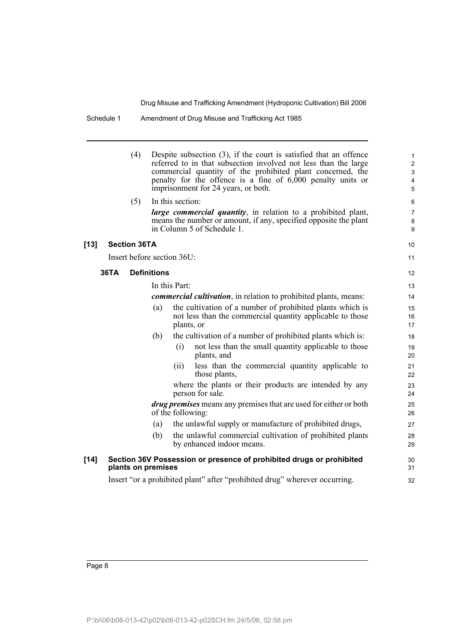Schedule 1 Amendment of Drug Misuse and Trafficking Act 1985

|        |             | (4)                 |                    |                            | Despite subsection $(3)$ , if the court is satisfied that an offence<br>referred to in that subsection involved not less than the large<br>commercial quantity of the prohibited plant concerned, the<br>penalty for the offence is a fine of $6,000$ penalty units or<br>imprisonment for 24 years, or both. | $\mathbf{1}$<br>$\overline{2}$<br>$\mathbf{3}$<br>$\overline{\mathbf{4}}$<br>5 |
|--------|-------------|---------------------|--------------------|----------------------------|---------------------------------------------------------------------------------------------------------------------------------------------------------------------------------------------------------------------------------------------------------------------------------------------------------------|--------------------------------------------------------------------------------|
|        |             | (5)                 |                    | In this section:           |                                                                                                                                                                                                                                                                                                               | 6                                                                              |
|        |             |                     |                    |                            | large commercial quantity, in relation to a prohibited plant,<br>means the number or amount, if any, specified opposite the plant<br>in Column 5 of Schedule 1.                                                                                                                                               | $\overline{7}$<br>$\bf 8$<br>9                                                 |
| [13]   |             | <b>Section 36TA</b> |                    |                            |                                                                                                                                                                                                                                                                                                               | 10                                                                             |
|        |             |                     |                    | Insert before section 36U: |                                                                                                                                                                                                                                                                                                               | 11                                                                             |
|        | <b>36TA</b> |                     | <b>Definitions</b> |                            |                                                                                                                                                                                                                                                                                                               | 12                                                                             |
|        |             |                     |                    | In this Part:              |                                                                                                                                                                                                                                                                                                               | 13                                                                             |
|        |             |                     |                    |                            | <i>commercial cultivation</i> , in relation to prohibited plants, means:                                                                                                                                                                                                                                      | 14                                                                             |
|        |             |                     | (a)                | plants, or                 | the cultivation of a number of prohibited plants which is<br>not less than the commercial quantity applicable to those                                                                                                                                                                                        | 15<br>16<br>17                                                                 |
|        |             |                     | (b)                |                            | the cultivation of a number of prohibited plants which is:                                                                                                                                                                                                                                                    | 18                                                                             |
|        |             |                     |                    | (i)                        | not less than the small quantity applicable to those<br>plants, and                                                                                                                                                                                                                                           | 19<br>20                                                                       |
|        |             |                     |                    | (ii)                       | less than the commercial quantity applicable to<br>those plants,                                                                                                                                                                                                                                              | 21<br>22                                                                       |
|        |             |                     |                    |                            | where the plants or their products are intended by any<br>person for sale.                                                                                                                                                                                                                                    | 23<br>24                                                                       |
|        |             |                     |                    | of the following:          | drug premises means any premises that are used for either or both                                                                                                                                                                                                                                             | 25<br>26                                                                       |
|        |             |                     | (a)                |                            | the unlawful supply or manufacture of prohibited drugs,                                                                                                                                                                                                                                                       | 27                                                                             |
|        |             |                     | (b)                |                            | the unlawful commercial cultivation of prohibited plants<br>by enhanced indoor means.                                                                                                                                                                                                                         | 28<br>29                                                                       |
| $[14]$ |             | plants on premises  |                    |                            | Section 36V Possession or presence of prohibited drugs or prohibited                                                                                                                                                                                                                                          | 30<br>31                                                                       |
|        |             |                     |                    |                            | Insert "or a prohibited plant" after "prohibited drug" wherever occurring.                                                                                                                                                                                                                                    | 32                                                                             |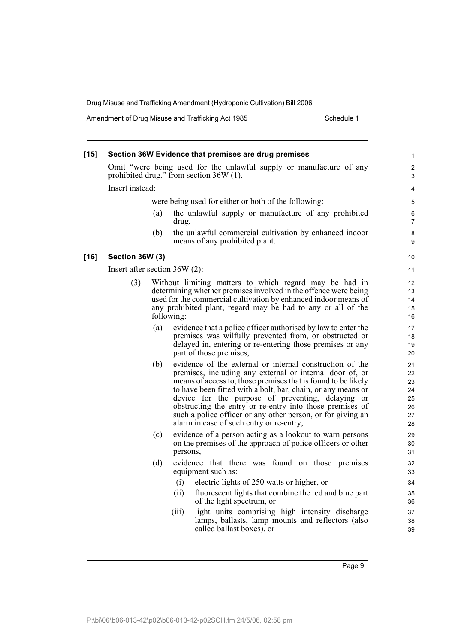Amendment of Drug Misuse and Trafficking Act 1985 Schedule 1

| $[15]$ | Section 36W Evidence that premises are drug premises |                                                                                                                                                                                                                 |                                                                                                                                                                                                                                                                                                                                                                                                                                                                                   |                                              |  |  |  |
|--------|------------------------------------------------------|-----------------------------------------------------------------------------------------------------------------------------------------------------------------------------------------------------------------|-----------------------------------------------------------------------------------------------------------------------------------------------------------------------------------------------------------------------------------------------------------------------------------------------------------------------------------------------------------------------------------------------------------------------------------------------------------------------------------|----------------------------------------------|--|--|--|
|        |                                                      | Omit "were being used for the unlawful supply or manufacture of any<br>prohibited drug." from section 36W (1).<br>Insert instead:                                                                               |                                                                                                                                                                                                                                                                                                                                                                                                                                                                                   |                                              |  |  |  |
|        |                                                      |                                                                                                                                                                                                                 |                                                                                                                                                                                                                                                                                                                                                                                                                                                                                   |                                              |  |  |  |
|        | were being used for either or both of the following: |                                                                                                                                                                                                                 |                                                                                                                                                                                                                                                                                                                                                                                                                                                                                   |                                              |  |  |  |
|        |                                                      | (a)                                                                                                                                                                                                             | the unlawful supply or manufacture of any prohibited<br>drug,                                                                                                                                                                                                                                                                                                                                                                                                                     | 6<br>7                                       |  |  |  |
|        |                                                      | (b)                                                                                                                                                                                                             | the unlawful commercial cultivation by enhanced indoor<br>means of any prohibited plant.                                                                                                                                                                                                                                                                                                                                                                                          | $\bf8$<br>9                                  |  |  |  |
| $[16]$ | <b>Section 36W (3)</b>                               |                                                                                                                                                                                                                 |                                                                                                                                                                                                                                                                                                                                                                                                                                                                                   | 10                                           |  |  |  |
|        | Insert after section $36W(2)$ :                      |                                                                                                                                                                                                                 |                                                                                                                                                                                                                                                                                                                                                                                                                                                                                   | 11                                           |  |  |  |
|        | (3)                                                  |                                                                                                                                                                                                                 | Without limiting matters to which regard may be had in<br>determining whether premises involved in the offence were being<br>used for the commercial cultivation by enhanced indoor means of<br>any prohibited plant, regard may be had to any or all of the<br>following:                                                                                                                                                                                                        | 12<br>13<br>14<br>15<br>16                   |  |  |  |
| (a)    |                                                      | evidence that a police officer authorised by law to enter the<br>premises was wilfully prevented from, or obstructed or<br>delayed in, entering or re-entering those premises or any<br>part of those premises, | 17<br>18<br>19<br>20                                                                                                                                                                                                                                                                                                                                                                                                                                                              |                                              |  |  |  |
|        |                                                      | (b)                                                                                                                                                                                                             | evidence of the external or internal construction of the<br>premises, including any external or internal door of, or<br>means of access to, those premises that is found to be likely<br>to have been fitted with a bolt, bar, chain, or any means or<br>device for the purpose of preventing, delaying or<br>obstructing the entry or re-entry into those premises of<br>such a police officer or any other person, or for giving an<br>alarm in case of such entry or re-entry, | 21<br>22<br>23<br>24<br>25<br>26<br>27<br>28 |  |  |  |
|        |                                                      | (c)                                                                                                                                                                                                             | evidence of a person acting as a lookout to warn persons<br>on the premises of the approach of police officers or other<br>persons,                                                                                                                                                                                                                                                                                                                                               | 29<br>30<br>31                               |  |  |  |
|        |                                                      | (d)                                                                                                                                                                                                             | evidence that there was found on those premises<br>equipment such as:                                                                                                                                                                                                                                                                                                                                                                                                             | 32<br>33                                     |  |  |  |
|        |                                                      |                                                                                                                                                                                                                 | (i)<br>electric lights of 250 watts or higher, or                                                                                                                                                                                                                                                                                                                                                                                                                                 | 34                                           |  |  |  |
|        |                                                      |                                                                                                                                                                                                                 | fluorescent lights that combine the red and blue part<br>(ii)<br>of the light spectrum, or                                                                                                                                                                                                                                                                                                                                                                                        | 35<br>36                                     |  |  |  |
|        |                                                      |                                                                                                                                                                                                                 | light units comprising high intensity discharge<br>(iii)<br>lamps, ballasts, lamp mounts and reflectors (also<br>called ballast boxes), or                                                                                                                                                                                                                                                                                                                                        | 37<br>38<br>39                               |  |  |  |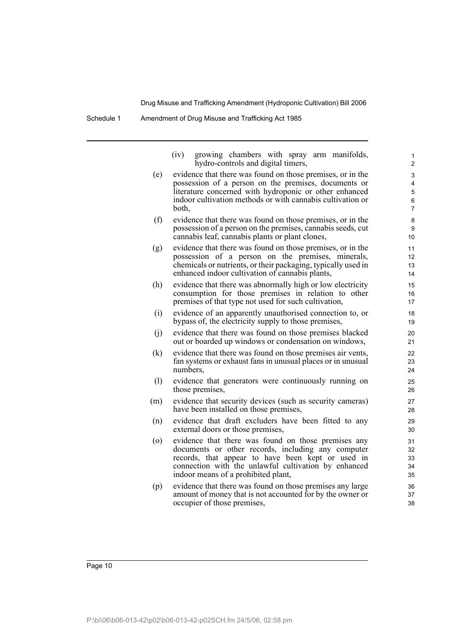Schedule 1 Amendment of Drug Misuse and Trafficking Act 1985

|                    | (iv)<br>growing chambers with spray arm manifolds,<br>hydro-controls and digital timers,                                                                                                                                                                      | 1<br>$\overline{c}$                             |
|--------------------|---------------------------------------------------------------------------------------------------------------------------------------------------------------------------------------------------------------------------------------------------------------|-------------------------------------------------|
| (e)                | evidence that there was found on those premises, or in the<br>possession of a person on the premises, documents or<br>literature concerned with hydroponic or other enhanced<br>indoor cultivation methods or with cannabis cultivation or<br>both,           | 3<br>$\overline{4}$<br>5<br>6<br>$\overline{7}$ |
| (f)                | evidence that there was found on those premises, or in the<br>possession of a person on the premises, cannabis seeds, cut<br>cannabis leaf, cannabis plants or plant clones,                                                                                  | 8<br>9<br>10 <sup>1</sup>                       |
| (g)                | evidence that there was found on those premises, or in the<br>possession of a person on the premises, minerals,<br>chemicals or nutrients, or their packaging, typically used in<br>enhanced indoor cultivation of cannabis plants,                           | 11<br>12<br>13<br>14                            |
| (h)                | evidence that there was abnormally high or low electricity<br>consumption for those premises in relation to other<br>premises of that type not used for such cultivation,                                                                                     | 15<br>16<br>17                                  |
| (i)                | evidence of an apparently unauthorised connection to, or<br>bypass of, the electricity supply to those premises,                                                                                                                                              | 18<br>19                                        |
| (j)                | evidence that there was found on those premises blacked<br>out or boarded up windows or condensation on windows,                                                                                                                                              | 20<br>21                                        |
| (k)                | evidence that there was found on those premises air vents,<br>fan systems or exhaust fans in unusual places or in unusual<br>numbers,                                                                                                                         | 22<br>23<br>24                                  |
| (1)                | evidence that generators were continuously running on<br>those premises,                                                                                                                                                                                      | 25<br>26                                        |
| (m)                | evidence that security devices (such as security cameras)<br>have been installed on those premises,                                                                                                                                                           | 27<br>28                                        |
| (n)                | evidence that draft excluders have been fitted to any<br>external doors or those premises,                                                                                                                                                                    | 29<br>30                                        |
| $\left( 0 \right)$ | evidence that there was found on those premises any<br>documents or other records, including any computer<br>records, that appear to have been kept or used in<br>connection with the unlawful cultivation by enhanced<br>indoor means of a prohibited plant, | 31<br>32<br>33<br>34<br>35                      |
| (p)                | evidence that there was found on those premises any large<br>amount of money that is not accounted for by the owner or<br>occupier of those premises,                                                                                                         | 36<br>37<br>38                                  |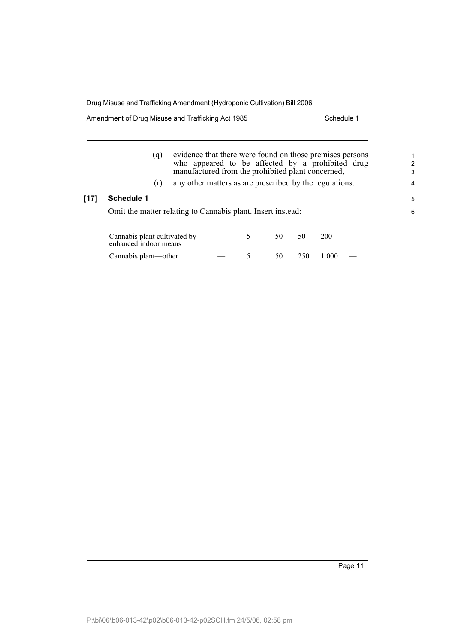Amendment of Drug Misuse and Trafficking Act 1985 Schedule 1

|      | evidence that there were found on those premises persons<br>(g)<br>who appeared to be affected by a prohibited drug<br>manufactured from the prohibited plant concerned,<br>any other matters as are prescribed by the regulations.<br>(r)<br><b>Schedule 1</b><br>Omit the matter relating to Cannabis plant. Insert instead: |  |  |  | 2<br>3 |    |     |   |   |
|------|--------------------------------------------------------------------------------------------------------------------------------------------------------------------------------------------------------------------------------------------------------------------------------------------------------------------------------|--|--|--|--------|----|-----|---|---|
|      |                                                                                                                                                                                                                                                                                                                                |  |  |  |        |    |     | 4 |   |
| [17] |                                                                                                                                                                                                                                                                                                                                |  |  |  |        |    |     |   | 5 |
|      |                                                                                                                                                                                                                                                                                                                                |  |  |  |        |    |     | 6 |   |
|      |                                                                                                                                                                                                                                                                                                                                |  |  |  |        |    |     |   |   |
|      | Cannabis plant cultivated by                                                                                                                                                                                                                                                                                                   |  |  |  | 50     | 50 | 200 |   |   |

| $\alpha$ cannuo is plaint valued by<br>enhanced indoor means |                               | $\sim$ $\sim$ $\sim$ | $\sim$ | <u>_ , , , ,</u>       |        |
|--------------------------------------------------------------|-------------------------------|----------------------|--------|------------------------|--------|
| Cannabis plant—other                                         | the company of the company of |                      | 250    | $\therefore$ 1 000 $-$ | $\sim$ |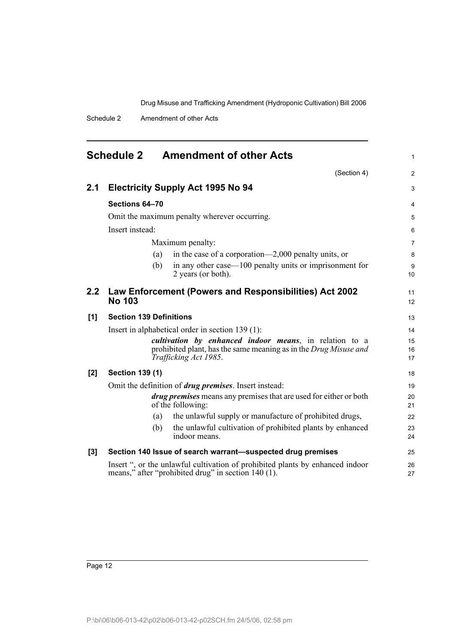|                  | <b>Schedule 2</b><br><b>Amendment of other Acts</b>                                                                                                         | $\mathbf{1}$   |
|------------------|-------------------------------------------------------------------------------------------------------------------------------------------------------------|----------------|
|                  | (Section 4)                                                                                                                                                 | $\overline{2}$ |
| 2.1              | <b>Electricity Supply Act 1995 No 94</b>                                                                                                                    | 3              |
|                  | Sections 64-70                                                                                                                                              | 4              |
|                  | Omit the maximum penalty wherever occurring.                                                                                                                | 5              |
|                  | Insert instead:                                                                                                                                             | 6              |
|                  | Maximum penalty:                                                                                                                                            | $\overline{7}$ |
|                  | in the case of a corporation—2,000 penalty units, or<br>(a)                                                                                                 | 8              |
|                  | in any other case—100 penalty units or imprisonment for<br>(b)<br>2 years (or both).                                                                        | 9<br>10        |
| 2.2 <sub>2</sub> | Law Enforcement (Powers and Responsibilities) Act 2002<br><b>No 103</b>                                                                                     | 11<br>12       |
| [1]              | <b>Section 139 Definitions</b>                                                                                                                              | 13             |
|                  | Insert in alphabetical order in section 139 (1):                                                                                                            | 14             |
|                  | <i>cultivation by enhanced indoor means</i> , in relation to a<br>prohibited plant, has the same meaning as in the Drug Misuse and<br>Trafficking Act 1985. | 15<br>16<br>17 |
| $[2]$            | <b>Section 139 (1)</b>                                                                                                                                      | 18             |
|                  | Omit the definition of <i>drug premises</i> . Insert instead:                                                                                               | 19             |
|                  | <i>drug premises</i> means any premises that are used for either or both<br>of the following:                                                               | 20<br>21       |
|                  | the unlawful supply or manufacture of prohibited drugs,<br>(a)                                                                                              | 22             |
|                  | the unlawful cultivation of prohibited plants by enhanced<br>(b)<br>indoor means.                                                                           | 23<br>24       |
| $[3]$            | Section 140 Issue of search warrant-suspected drug premises                                                                                                 | 25             |
|                  | Insert ", or the unlawful cultivation of prohibited plants by enhanced indoor<br>means," after "prohibited drug" in section 140 (1).                        | 26<br>27       |